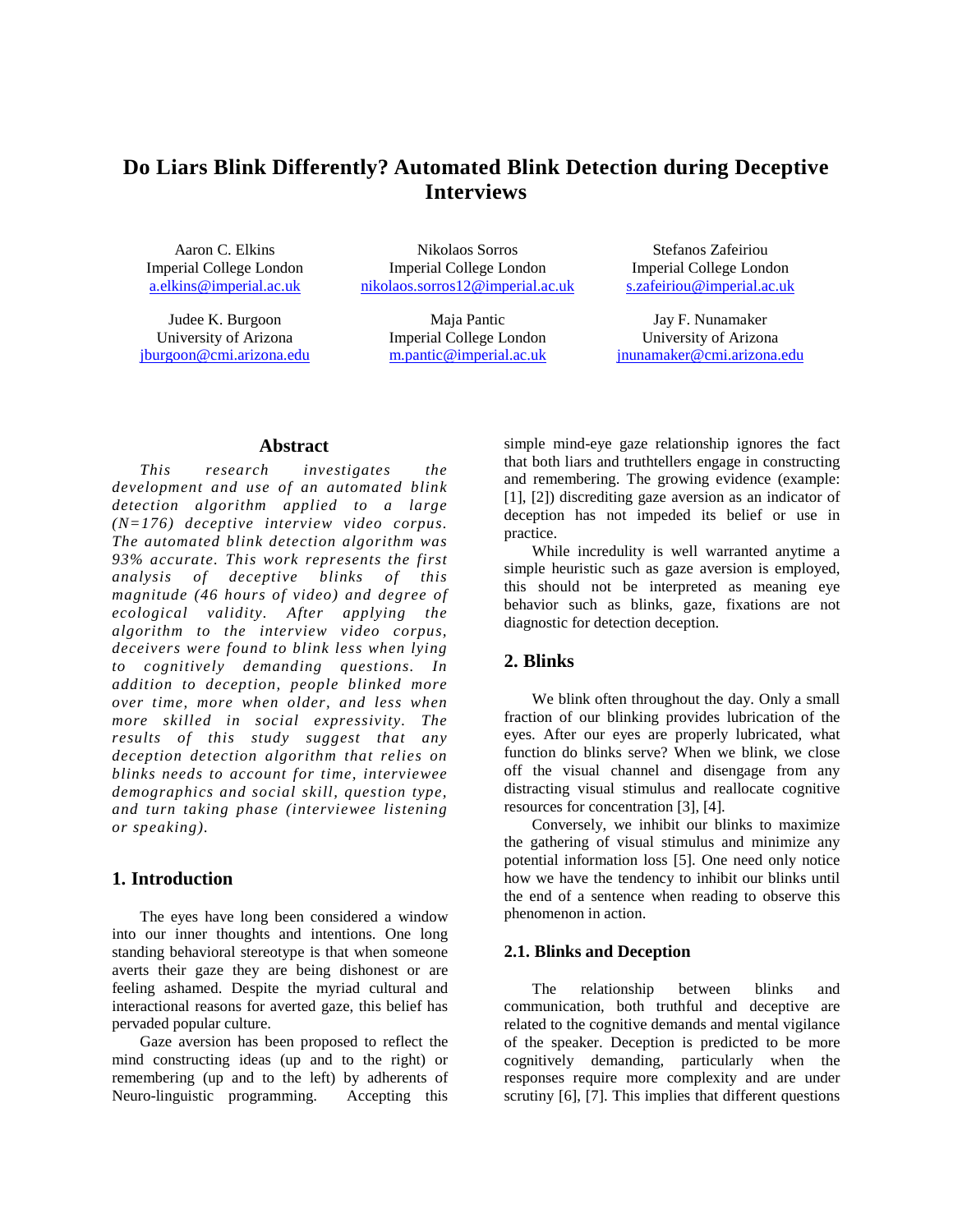# **Do Liars Blink Differently? Automated Blink Detection during Deceptive Interviews**

Aaron C. Elkins Imperial College London [a.elkins@imperial.ac.uk](mailto:a.elkins@imperial.ac.uk)

Judee K. Burgoon University of Arizona [jburgoon@cmi.arizona.edu](mailto:jburgoon@cmi.arizona.edu)

Nikolaos Sorros Imperial College London [nikolaos.sorros12@imperial.ac.uk](mailto:nikolaos.sorros12@imperial.ac.uk)

> Maja Pantic Imperial College London [m.pantic@imperial.ac.uk](mailto:m.pantic@imperial.ac.uk)

Stefanos Zafeiriou Imperial College London [s.zafeiriou@imperial.ac.uk](mailto:s.zafeiriou@imperial.ac.uk)

Jay F. Nunamaker University of Arizona [jnunamaker@cmi.arizona.edu](mailto:jnunamaker@cmi.arizona.edu)

### **Abstract**

*This research investigates the development and use of an automated blink detection algorithm applied to a large (N=176) deceptive interview video corpus. The automated blink detection algorithm was 93% accurate. This work represents the first analysis of deceptive blinks of this magnitude (46 hours of video) and degree of ecological validity. After applying the algorithm to the interview video corpus, deceivers were found to blink less when lying to cognitively demanding questions. In addition to deception, people blinked more over time, more when older, and less when more skilled in social expressivity. The results of this study suggest that any deception detection algorithm that relies on blinks needs to account for time, interviewee demographics and social skill, question type, and turn taking phase (interviewee listening or speaking).* 

# **1. Introduction**

The eyes have long been considered a window into our inner thoughts and intentions. One long standing behavioral stereotype is that when someone averts their gaze they are being dishonest or are feeling ashamed. Despite the myriad cultural and interactional reasons for averted gaze, this belief has pervaded popular culture.

Gaze aversion has been proposed to reflect the mind constructing ideas (up and to the right) or remembering (up and to the left) by adherents of Neuro-linguistic programming. Accepting this Neuro-linguistic programming.

simple mind-eye gaze relationship ignores the fact that both liars and truthtellers engage in constructing and remembering. The growing evidence (example: [1], [2]) discrediting gaze aversion as an indicator of deception has not impeded its belief or use in practice.

While incredulity is well warranted anytime a simple heuristic such as gaze aversion is employed, this should not be interpreted as meaning eye behavior such as blinks, gaze, fixations are not diagnostic for detection deception.

# **2. Blinks**

We blink often throughout the day. Only a small fraction of our blinking provides lubrication of the eyes. After our eyes are properly lubricated, what function do blinks serve? When we blink, we close off the visual channel and disengage from any distracting visual stimulus and reallocate cognitive resources for concentration [3], [4].

Conversely, we inhibit our blinks to maximize the gathering of visual stimulus and minimize any potential information loss [5]. One need only notice how we have the tendency to inhibit our blinks until the end of a sentence when reading to observe this phenomenon in action.

### **2.1. Blinks and Deception**

The relationship between blinks and communication, both truthful and deceptive are related to the cognitive demands and mental vigilance of the speaker. Deception is predicted to be more cognitively demanding, particularly when the responses require more complexity and are under scrutiny [6], [7]. This implies that different questions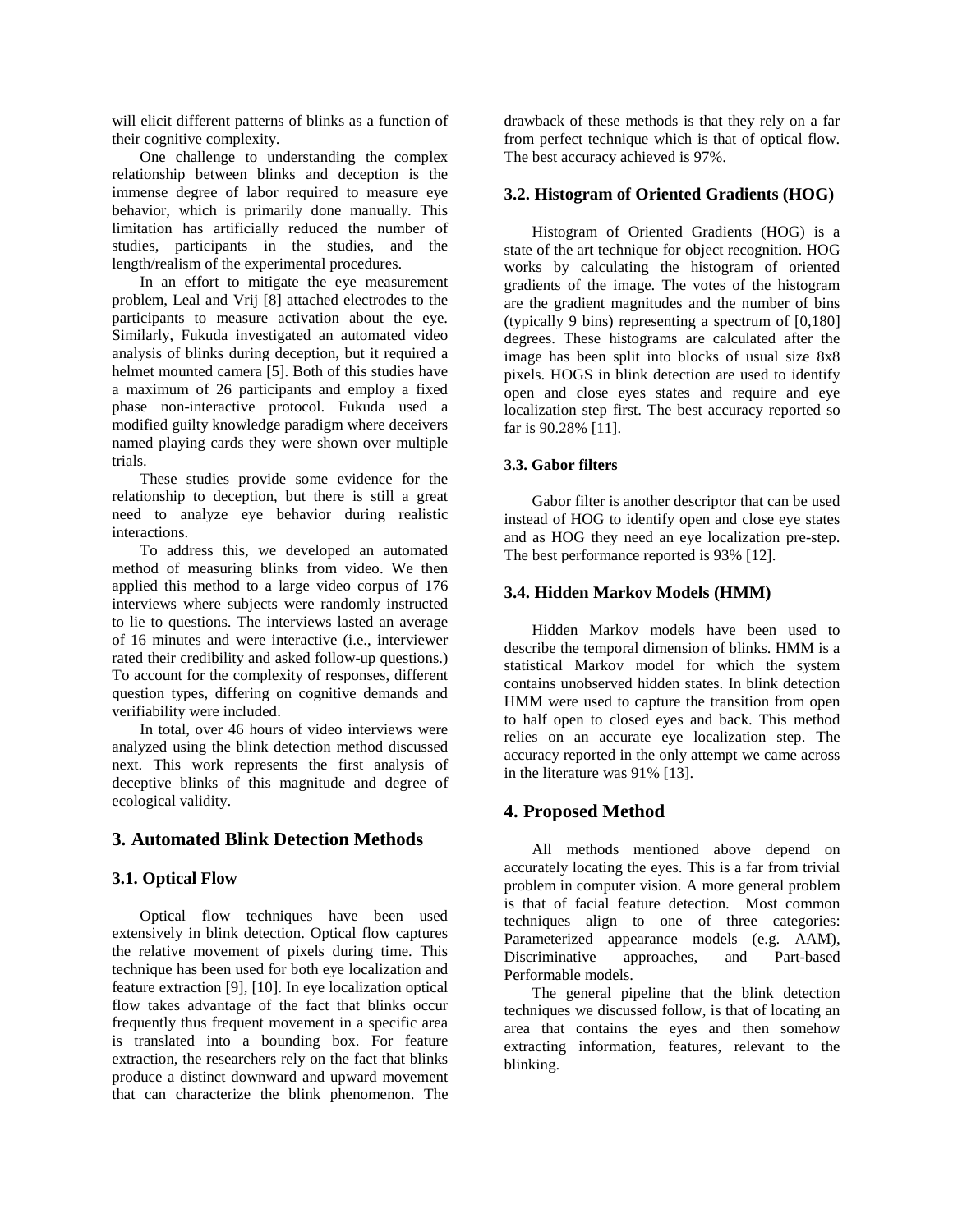will elicit different patterns of blinks as a function of their cognitive complexity.

One challenge to understanding the complex relationship between blinks and deception is the immense degree of labor required to measure eye behavior, which is primarily done manually. This limitation has artificially reduced the number of studies, participants in the studies, and the length/realism of the experimental procedures.

In an effort to mitigate the eye measurement problem, Leal and Vrij [8] attached electrodes to the participants to measure activation about the eye. Similarly, Fukuda investigated an automated video analysis of blinks during deception, but it required a helmet mounted camera [5]. Both of this studies have a maximum of 26 participants and employ a fixed phase non-interactive protocol. Fukuda used a modified guilty knowledge paradigm where deceivers named playing cards they were shown over multiple trials.

These studies provide some evidence for the relationship to deception, but there is still a great need to analyze eye behavior during realistic interactions.

To address this, we developed an automated method of measuring blinks from video. We then applied this method to a large video corpus of 176 interviews where subjects were randomly instructed to lie to questions. The interviews lasted an average of 16 minutes and were interactive (i.e., interviewer rated their credibility and asked follow-up questions.) To account for the complexity of responses, different question types, differing on cognitive demands and verifiability were included.

In total, over 46 hours of video interviews were analyzed using the blink detection method discussed next. This work represents the first analysis of deceptive blinks of this magnitude and degree of ecological validity.

# **3. Automated Blink Detection Methods**

# **3.1. Optical Flow**

Optical flow techniques have been used extensively in blink detection. Optical flow captures the relative movement of pixels during time. This technique has been used for both eye localization and feature extraction [9], [10]. In eye localization optical flow takes advantage of the fact that blinks occur frequently thus frequent movement in a specific area is translated into a bounding box. For feature extraction, the researchers rely on the fact that blinks produce a distinct downward and upward movement that can characterize the blink phenomenon. The

drawback of these methods is that they rely on a far from perfect technique which is that of optical flow. The best accuracy achieved is 97%.

### **3.2. Histogram of Oriented Gradients (HOG)**

Histogram of Oriented Gradients (HOG) is a state of the art technique for object recognition. HOG works by calculating the histogram of oriented gradients of the image. The votes of the histogram are the gradient magnitudes and the number of bins (typically 9 bins) representing a spectrum of [0,180] degrees. These histograms are calculated after the image has been split into blocks of usual size 8x8 pixels. HOGS in blink detection are used to identify open and close eyes states and require and eye localization step first. The best accuracy reported so far is 90.28% [11].

### **3.3. Gabor filters**

Gabor filter is another descriptor that can be used instead of HOG to identify open and close eye states and as HOG they need an eye localization pre-step. The best performance reported is 93% [12].

### **3.4. Hidden Markov Models (HMM)**

Hidden Markov models have been used to describe the temporal dimension of blinks. HMM is a statistical Markov model for which the system contains unobserved hidden states. In blink detection HMM were used to capture the transition from open to half open to closed eyes and back. This method relies on an accurate eye localization step. The accuracy reported in the only attempt we came across in the literature was 91% [13].

# **4. Proposed Method**

All methods mentioned above depend on accurately locating the eyes. This is a far from trivial problem in computer vision. A more general problem is that of facial feature detection. Most common techniques align to one of three categories: Parameterized appearance models (e.g. AAM), Discriminative approaches, and Part-based Performable models.

The general pipeline that the blink detection techniques we discussed follow, is that of locating an area that contains the eyes and then somehow extracting information, features, relevant to the blinking.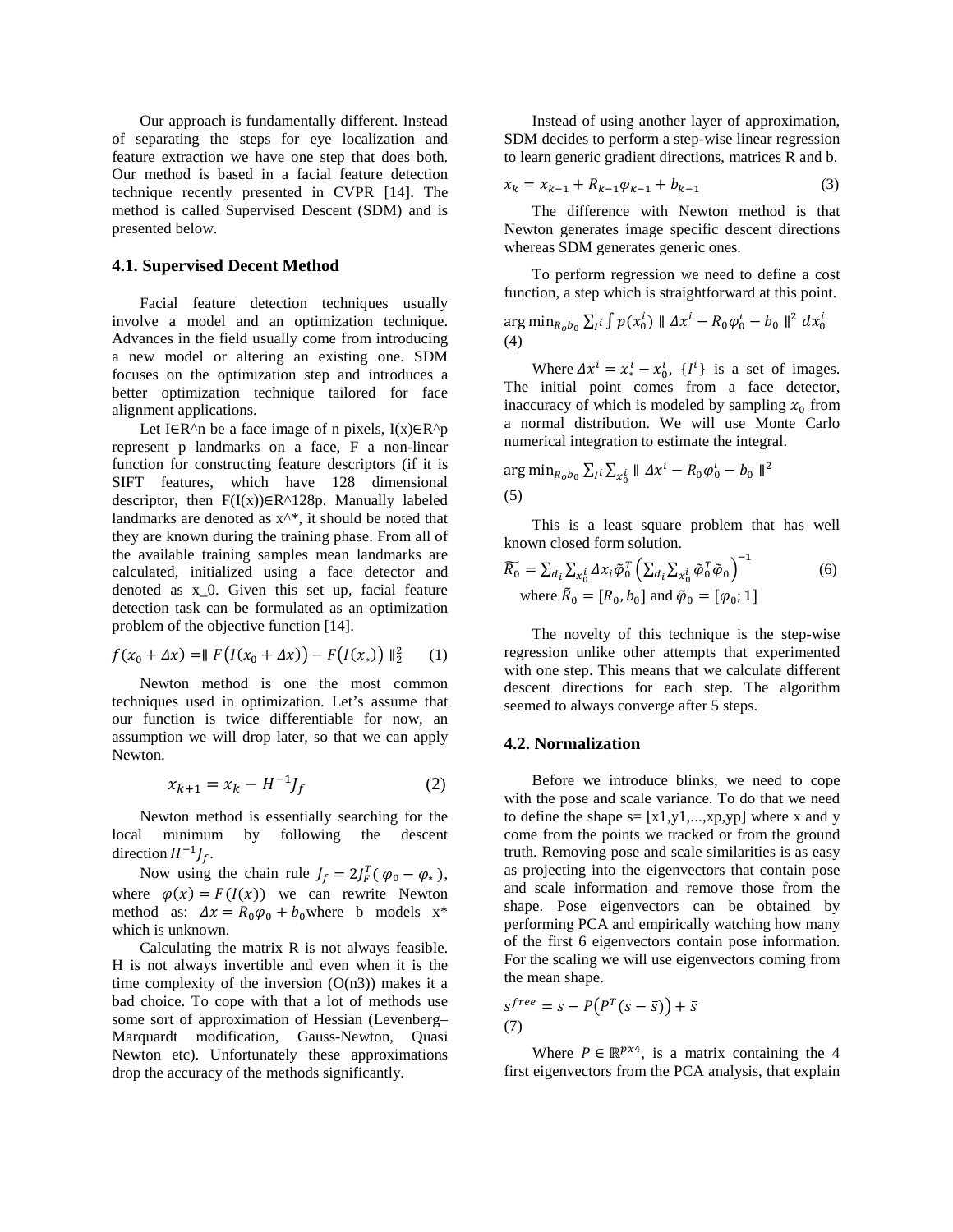Our approach is fundamentally different. Instead of separating the steps for eye localization and feature extraction we have one step that does both. Our method is based in a facial feature detection technique recently presented in CVPR [14]. The method is called Supervised Descent (SDM) and is presented below.

#### **4.1. Supervised Decent Method**

Facial feature detection techniques usually involve a model and an optimization technique. Advances in the field usually come from introducing a new model or altering an existing one. SDM focuses on the optimization step and introduces a better optimization technique tailored for face alignment applications.

Let I∈R^n be a face image of n pixels,  $I(x) \in R^p$ represent p landmarks on a face, F a non-linear function for constructing feature descriptors (if it is SIFT features, which have 128 dimensional descriptor, then  $F(I(x)) \in R^{\wedge}128p$ . Manually labeled landmarks are denoted as  $x^*$ , it should be noted that they are known during the training phase. From all of the available training samples mean landmarks are calculated, initialized using a face detector and denoted as x\_0. Given this set up, facial feature detection task can be formulated as an optimization problem of the objective function [14].

$$
f(x_0 + \Delta x) = || F(I(x_0 + \Delta x)) - F(I(x_*)) ||_2^2 \qquad (1)
$$

Newton method is one the most common techniques used in optimization. Let's assume that our function is twice differentiable for now, an assumption we will drop later, so that we can apply Newton.

$$
x_{k+1} = x_k - H^{-1}J_f \tag{2}
$$

Newton method is essentially searching for the local minimum by following the descent direction  $H^{-1}J_f$ .

Now using the chain rule  $J_f = 2J_F^T(\varphi_0 - \varphi_*),$ where  $\varphi(x) = F(I(x))$  we can rewrite Newton method as:  $\Delta x = R_0 \varphi_0 + b_0$  where b models  $x^*$ which is unknown.

Calculating the matrix R is not always feasible. H is not always invertible and even when it is the time complexity of the inversion  $(O(n3))$  makes it a bad choice. To cope with that a lot of methods use some sort of approximation of Hessian (Levenberg– Marquardt modification, Gauss-Newton, Quasi Newton etc). Unfortunately these approximations drop the accuracy of the methods significantly.

Instead of using another layer of approximation, SDM decides to perform a step-wise linear regression to learn generic gradient directions, matrices R and b.

$$
x_k = x_{k-1} + R_{k-1}\varphi_{k-1} + b_{k-1} \tag{3}
$$

The difference with Newton method is that Newton generates image specific descent directions whereas SDM generates generic ones.

To perform regression we need to define a cost function, a step which is straightforward at this point.

$$
\arg\min_{R_0 b_0} \sum_{i} \int p(x_0^i) \| \Delta x^i - R_0 \varphi_0^i - b_0 \|^2 dx_0^i
$$
  
(4)

Where  $\Delta x^i = x^i - x^i_0$ ,  $\{I^i\}$  is a set of images. The initial point comes from a face detector, inaccuracy of which is modeled by sampling  $x_0$  from a normal distribution. We will use Monte Carlo numerical integration to estimate the integral.

$$
\arg\min_{R_0 b_0} \sum_{l} \sum_{x_0^i} \| \Delta x^i - R_0 \varphi_0^i - b_0 \|^2
$$
  
(5)

This is a least square problem that has well known closed form solution.

$$
\widetilde{R_0} = \sum_{d_i} \sum_{x_0} \Delta x_i \widetilde{\varphi}_0^T \left( \sum_{d_i} \sum_{x_0} \widetilde{\varphi}_0^T \widetilde{\varphi}_0 \right)^{-1}
$$
\nwhere

\n
$$
\widetilde{R}_0 = [R_0, b_0] \text{ and } \widetilde{\varphi}_0 = [\varphi_0; 1]
$$
\n(6)

The novelty of this technique is the step-wise regression unlike other attempts that experimented with one step. This means that we calculate different descent directions for each step. The algorithm seemed to always converge after 5 steps.

#### **4.2. Normalization**

Before we introduce blinks, we need to cope with the pose and scale variance. To do that we need to define the shape  $s = [x1,y1,...,xp,yp]$  where x and y come from the points we tracked or from the ground truth. Removing pose and scale similarities is as easy as projecting into the eigenvectors that contain pose and scale information and remove those from the shape. Pose eigenvectors can be obtained by performing PCA and empirically watching how many of the first 6 eigenvectors contain pose information. For the scaling we will use eigenvectors coming from the mean shape.

$$
s^{free} = s - P(P^T(s - \bar{s})) + \bar{s}
$$
  
(7)

Where  $P \in \mathbb{R}^{p \times 4}$ , is a matrix containing the 4 first eigenvectors from the PCA analysis, that explain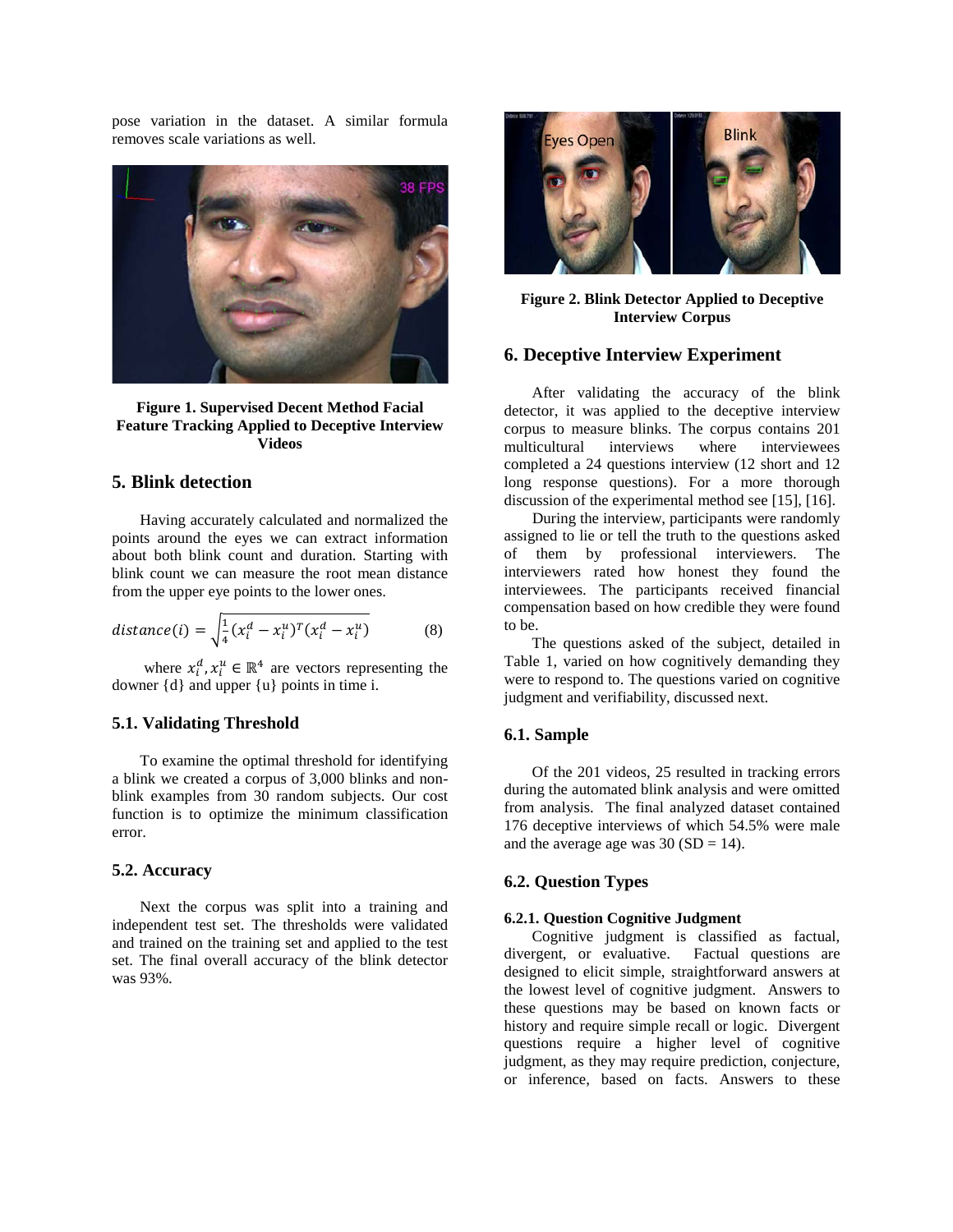pose variation in the dataset. A similar formula removes scale variations as well.



**Figure 1. Supervised Decent Method Facial Feature Tracking Applied to Deceptive Interview Videos**

### **5. Blink detection**

Having accurately calculated and normalized the points around the eyes we can extract information about both blink count and duration. Starting with blink count we can measure the root mean distance from the upper eye points to the lower ones.

$$
distance(i) = \sqrt{\frac{1}{4}(x_i^d - x_i^u)^T (x_i^d - x_i^u)}
$$
(8)

where  $x_i^d$ ,  $x_i^u \in \mathbb{R}^4$  are vectors representing the downer {d} and upper {u} points in time i.

#### **5.1. Validating Threshold**

To examine the optimal threshold for identifying a blink we created a corpus of 3,000 blinks and nonblink examples from 30 random subjects. Our cost function is to optimize the minimum classification error.

#### **5.2. Accuracy**

Next the corpus was split into a training and independent test set. The thresholds were validated and trained on the training set and applied to the test set. The final overall accuracy of the blink detector was 93%.



**Figure 2. Blink Detector Applied to Deceptive Interview Corpus**

### **6. Deceptive Interview Experiment**

After validating the accuracy of the blink detector, it was applied to the deceptive interview corpus to measure blinks. The corpus contains 201 multicultural interviews where interviewees completed a 24 questions interview (12 short and 12 long response questions). For a more thorough discussion of the experimental method see [15], [16].

During the interview, participants were randomly assigned to lie or tell the truth to the questions asked of them by professional interviewers. The interviewers rated how honest they found the interviewees. The participants received financial compensation based on how credible they were found to be.

The questions asked of the subject, detailed in [Table 1,](#page-4-0) varied on how cognitively demanding they were to respond to. The questions varied on cognitive judgment and verifiability, discussed next.

#### **6.1. Sample**

Of the 201 videos, 25 resulted in tracking errors during the automated blink analysis and were omitted from analysis. The final analyzed dataset contained 176 deceptive interviews of which 54.5% were male and the average age was  $30 (SD = 14)$ .

### **6.2. Question Types**

#### **6.2.1. Question Cognitive Judgment**

Cognitive judgment is classified as factual, divergent, or evaluative. Factual questions are designed to elicit simple, straightforward answers at the lowest level of cognitive judgment. Answers to these questions may be based on known facts or history and require simple recall or logic. Divergent questions require a higher level of cognitive judgment, as they may require prediction, conjecture, or inference, based on facts. Answers to these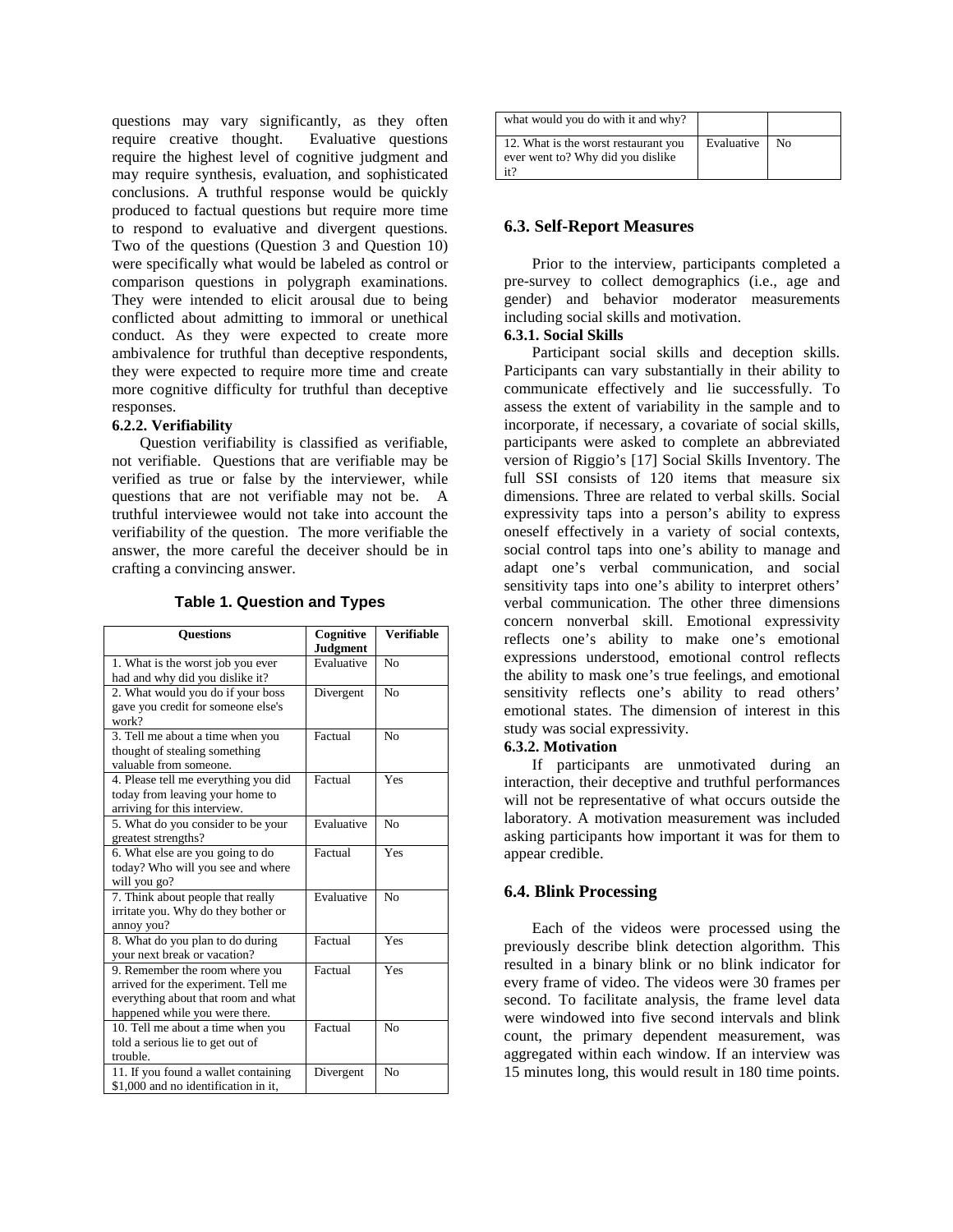questions may vary significantly, as they often require creative thought. Evaluative questions require the highest level of cognitive judgment and may require synthesis, evaluation, and sophisticated conclusions. A truthful response would be quickly produced to factual questions but require more time to respond to evaluative and divergent questions. Two of the questions (Question 3 and Question 10) were specifically what would be labeled as control or comparison questions in polygraph examinations. They were intended to elicit arousal due to being conflicted about admitting to immoral or unethical conduct. As they were expected to create more ambivalence for truthful than deceptive respondents, they were expected to require more time and create more cognitive difficulty for truthful than deceptive responses.

#### **6.2.2. Verifiability**

Question verifiability is classified as verifiable, not verifiable. Questions that are verifiable may be verified as true or false by the interviewer, while questions that are not verifiable may not be. A truthful interviewee would not take into account the verifiability of the question. The more verifiable the answer, the more careful the deceiver should be in crafting a convincing answer.

<span id="page-4-0"></span>

| <b>Ouestions</b>                                               | Cognitive                    | <b>Verifiable</b> |  |
|----------------------------------------------------------------|------------------------------|-------------------|--|
|                                                                | <b>Judgment</b>              |                   |  |
| 1. What is the worst job you ever                              | Evaluative<br>N <sub>0</sub> |                   |  |
| had and why did you dislike it?                                |                              |                   |  |
| 2. What would you do if your boss<br>Divergent                 |                              | N <sub>0</sub>    |  |
| gave you credit for someone else's                             |                              |                   |  |
| work?                                                          |                              |                   |  |
| 3. Tell me about a time when you                               | Factual<br>N <sub>0</sub>    |                   |  |
| thought of stealing something                                  |                              |                   |  |
| valuable from someone.                                         |                              |                   |  |
| Factual<br>Yes<br>4. Please tell me everything you did         |                              |                   |  |
| today from leaving your home to                                |                              |                   |  |
| arriving for this interview.                                   |                              |                   |  |
| 5. What do you consider to be your                             | Evaluative                   | No                |  |
| greatest strengths?                                            |                              |                   |  |
| 6. What else are you going to do                               | Factual                      | Yes               |  |
| today? Who will you see and where                              |                              |                   |  |
| will you go?                                                   |                              |                   |  |
| 7. Think about people that really                              | Evaluative                   | N <sub>0</sub>    |  |
| irritate you. Why do they bother or                            |                              |                   |  |
| annoy you?                                                     |                              |                   |  |
| Yes<br>8. What do you plan to do during<br>Factual             |                              |                   |  |
| your next break or vacation?                                   |                              |                   |  |
| 9. Remember the room where you                                 | Factual                      | Yes               |  |
| arrived for the experiment. Tell me                            |                              |                   |  |
| everything about that room and what                            |                              |                   |  |
| happened while you were there.                                 |                              |                   |  |
| 10. Tell me about a time when you<br>Factual<br>N <sub>0</sub> |                              |                   |  |
| told a serious lie to get out of                               |                              |                   |  |
| trouble.                                                       |                              |                   |  |
| 11. If you found a wallet containing                           | Divergent                    | N <sub>0</sub>    |  |
| \$1,000 and no identification in it,                           |                              |                   |  |

**Table 1. Question and Types**

| what would you do with it and why?                                               |            |    |
|----------------------------------------------------------------------------------|------------|----|
| 12. What is the worst restaurant you<br>ever went to? Why did you dislike<br>it? | Evaluative | No |

### **6.3. Self-Report Measures**

Prior to the interview, participants completed a pre-survey to collect demographics (i.e., age and gender) and behavior moderator measurements including social skills and motivation.

### **6.3.1. Social Skills**

Participant social skills and deception skills. Participants can vary substantially in their ability to communicate effectively and lie successfully. To assess the extent of variability in the sample and to incorporate, if necessary, a covariate of social skills, participants were asked to complete an abbreviated version of Riggio's [17] Social Skills Inventory. The full SSI consists of 120 items that measure six dimensions. Three are related to verbal skills. Social expressivity taps into a person's ability to express oneself effectively in a variety of social contexts, social control taps into one's ability to manage and adapt one's verbal communication, and social sensitivity taps into one's ability to interpret others' verbal communication. The other three dimensions concern nonverbal skill. Emotional expressivity reflects one's ability to make one's emotional expressions understood, emotional control reflects the ability to mask one's true feelings, and emotional sensitivity reflects one's ability to read others' emotional states. The dimension of interest in this study was social expressivity.

#### **6.3.2. Motivation**

If participants are unmotivated during an interaction, their deceptive and truthful performances will not be representative of what occurs outside the laboratory. A motivation measurement was included asking participants how important it was for them to appear credible.

#### **6.4. Blink Processing**

Each of the videos were processed using the previously describe blink detection algorithm. This resulted in a binary blink or no blink indicator for every frame of video. The videos were 30 frames per second. To facilitate analysis, the frame level data were windowed into five second intervals and blink count, the primary dependent measurement, was aggregated within each window. If an interview was 15 minutes long, this would result in 180 time points.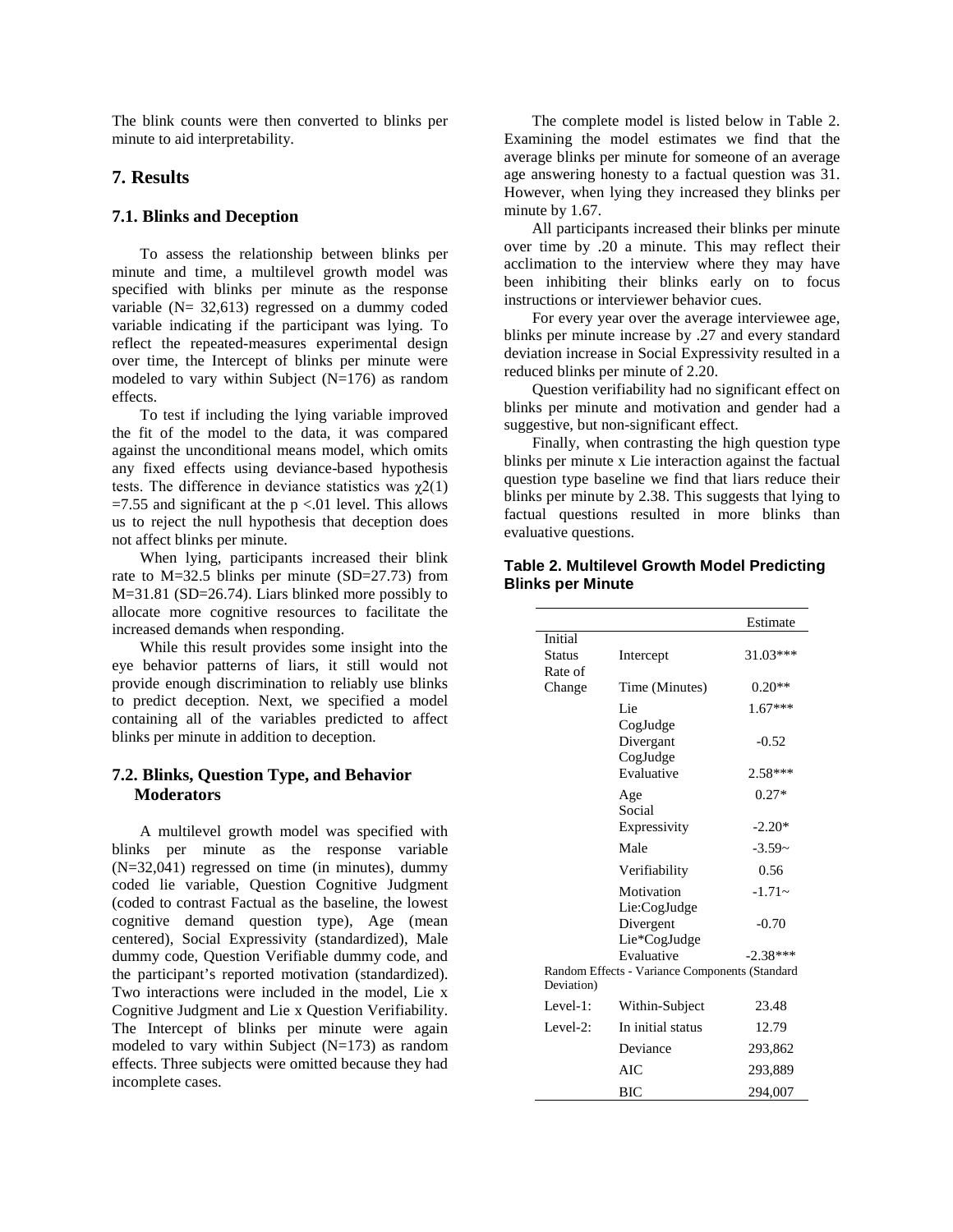The blink counts were then converted to blinks per minute to aid interpretability.

### **7. Results**

#### **7.1. Blinks and Deception**

To assess the relationship between blinks per minute and time, a multilevel growth model was specified with blinks per minute as the response variable (N= 32,613) regressed on a dummy coded variable indicating if the participant was lying. To reflect the repeated-measures experimental design over time, the Intercept of blinks per minute were modeled to vary within Subject (N=176) as random effects.

To test if including the lying variable improved the fit of the model to the data, it was compared against the unconditional means model, which omits any fixed effects using deviance-based hypothesis tests. The difference in deviance statistics was  $\gamma$ 2(1)  $=7.55$  and significant at the p <.01 level. This allows us to reject the null hypothesis that deception does not affect blinks per minute.

When lying, participants increased their blink rate to M=32.5 blinks per minute (SD=27.73) from M=31.81 (SD=26.74). Liars blinked more possibly to allocate more cognitive resources to facilitate the increased demands when responding.

While this result provides some insight into the eye behavior patterns of liars, it still would not provide enough discrimination to reliably use blinks to predict deception. Next, we specified a model containing all of the variables predicted to affect blinks per minute in addition to deception.

#### **7.2. Blinks, Question Type, and Behavior Moderators**

A multilevel growth model was specified with blinks per minute as the response variable (N=32,041) regressed on time (in minutes), dummy coded lie variable, Question Cognitive Judgment (coded to contrast Factual as the baseline, the lowest cognitive demand question type), Age (mean centered), Social Expressivity (standardized), Male dummy code, Question Verifiable dummy code, and the participant's reported motivation (standardized). Two interactions were included in the model, Lie x Cognitive Judgment and Lie x Question Verifiability. The Intercept of blinks per minute were again modeled to vary within Subject (N=173) as random effects. Three subjects were omitted because they had incomplete cases.

The complete model is listed below in [Table 2.](#page-5-0) Examining the model estimates we find that the average blinks per minute for someone of an average age answering honesty to a factual question was 31. However, when lying they increased they blinks per minute by 1.67.

All participants increased their blinks per minute over time by .20 a minute. This may reflect their acclimation to the interview where they may have been inhibiting their blinks early on to focus instructions or interviewer behavior cues.

For every year over the average interviewee age, blinks per minute increase by .27 and every standard deviation increase in Social Expressivity resulted in a reduced blinks per minute of 2.20.

Question verifiability had no significant effect on blinks per minute and motivation and gender had a suggestive, but non-significant effect.

Finally, when contrasting the high question type blinks per minute x Lie interaction against the factual question type baseline we find that liars reduce their blinks per minute by 2.38. This suggests that lying to factual questions resulted in more blinks than evaluative questions.

#### <span id="page-5-0"></span>**Table 2. Multilevel Growth Model Predicting Blinks per Minute**

|               |                                                | Estimate   |
|---------------|------------------------------------------------|------------|
| Initial       |                                                |            |
| <b>Status</b> | Intercept                                      | 31.03***   |
| Rate of       |                                                |            |
| Change        | Time (Minutes)                                 | $0.20**$   |
|               | Lie                                            | $1.67***$  |
|               | CogJudge                                       |            |
|               | Divergant                                      | $-0.52$    |
|               | CogJudge                                       |            |
|               | Evaluative                                     | $2.58***$  |
|               | Age                                            | $0.27*$    |
|               | Social                                         |            |
|               | Expressivity                                   | $-2.20*$   |
|               | Male                                           | $-3.59-$   |
|               | Verifiability                                  | 0.56       |
|               | Motivation                                     | $-1.71-$   |
|               | Lie:CogJudge                                   |            |
|               | Divergent                                      | $-0.70$    |
|               | Lie*CogJudge                                   |            |
|               | Evaluative                                     | $-2.38***$ |
| Deviation)    | Random Effects - Variance Components (Standard |            |
| $Level-1$ :   | Within-Subject                                 | 23.48      |
| Level- $2$ :  | In initial status                              | 12.79      |
|               | Deviance                                       | 293,862    |
|               | AIC                                            | 293,889    |
|               | ВIС                                            | 294.007    |